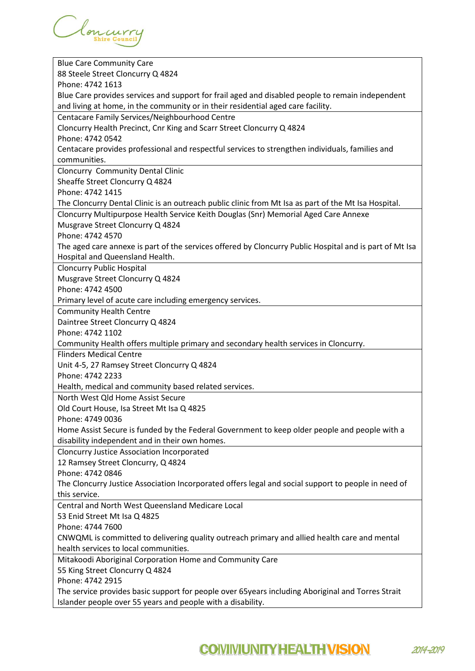| <b>Blue Care Community Care</b>                                                                                                                                  |
|------------------------------------------------------------------------------------------------------------------------------------------------------------------|
| 88 Steele Street Cloncurry Q 4824                                                                                                                                |
| Phone: 4742 1613                                                                                                                                                 |
| Blue Care provides services and support for frail aged and disabled people to remain independent                                                                 |
| and living at home, in the community or in their residential aged care facility.                                                                                 |
| Centacare Family Services/Neighbourhood Centre                                                                                                                   |
| Cloncurry Health Precinct, Cnr King and Scarr Street Cloncurry Q 4824                                                                                            |
| Phone: 4742 0542                                                                                                                                                 |
| Centacare provides professional and respectful services to strengthen individuals, families and                                                                  |
| communities.                                                                                                                                                     |
| Cloncurry Community Dental Clinic                                                                                                                                |
| Sheaffe Street Cloncurry Q 4824                                                                                                                                  |
| Phone: 4742 1415                                                                                                                                                 |
| The Cloncurry Dental Clinic is an outreach public clinic from Mt Isa as part of the Mt Isa Hospital.                                                             |
| Cloncurry Multipurpose Health Service Keith Douglas (Snr) Memorial Aged Care Annexe                                                                              |
| Musgrave Street Cloncurry Q 4824                                                                                                                                 |
| Phone: 4742 4570                                                                                                                                                 |
|                                                                                                                                                                  |
| The aged care annexe is part of the services offered by Cloncurry Public Hospital and is part of Mt Isa                                                          |
| Hospital and Queensland Health.                                                                                                                                  |
| <b>Cloncurry Public Hospital</b>                                                                                                                                 |
| Musgrave Street Cloncurry Q 4824                                                                                                                                 |
| Phone: 4742 4500                                                                                                                                                 |
| Primary level of acute care including emergency services.                                                                                                        |
| <b>Community Health Centre</b>                                                                                                                                   |
| Daintree Street Cloncurry Q 4824                                                                                                                                 |
|                                                                                                                                                                  |
| Phone: 4742 1102                                                                                                                                                 |
| Community Health offers multiple primary and secondary health services in Cloncurry.                                                                             |
| <b>Flinders Medical Centre</b>                                                                                                                                   |
| Unit 4-5, 27 Ramsey Street Cloncurry Q 4824                                                                                                                      |
| Phone: 4742 2233                                                                                                                                                 |
| Health, medical and community based related services.                                                                                                            |
| North West Qld Home Assist Secure                                                                                                                                |
| Old Court House, Isa Street Mt Isa Q 4825                                                                                                                        |
| Phone: 4749 0036                                                                                                                                                 |
| Home Assist Secure is funded by the Federal Government to keep older people and people with a                                                                    |
| disability independent and in their own homes.                                                                                                                   |
|                                                                                                                                                                  |
| <b>Cloncurry Justice Association Incorporated</b>                                                                                                                |
| 12 Ramsey Street Cloncurry, Q 4824<br>Phone: 4742 0846                                                                                                           |
|                                                                                                                                                                  |
| The Cloncurry Justice Association Incorporated offers legal and social support to people in need of                                                              |
| this service.                                                                                                                                                    |
| Central and North West Queensland Medicare Local                                                                                                                 |
| 53 Enid Street Mt Isa Q 4825                                                                                                                                     |
| Phone: 4744 7600                                                                                                                                                 |
| CNWQML is committed to delivering quality outreach primary and allied health care and mental                                                                     |
| health services to local communities.                                                                                                                            |
| Mitakoodi Aboriginal Corporation Home and Community Care                                                                                                         |
| 55 King Street Cloncurry Q 4824                                                                                                                                  |
| Phone: 4742 2915                                                                                                                                                 |
| The service provides basic support for people over 65years including Aboriginal and Torres Strait<br>Islander people over 55 years and people with a disability. |

## **COIVIIVIUNITY HEALTH VISION 2014-2019**